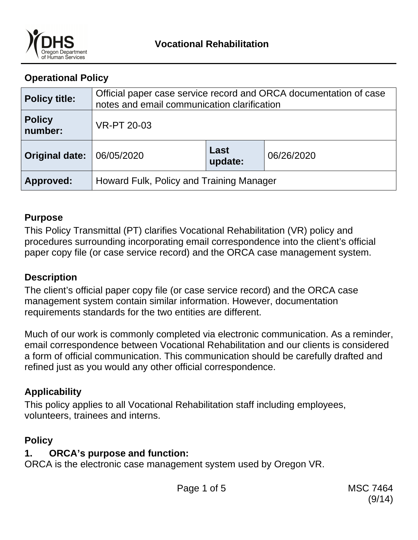

## **Operational Policy**

| <b>Policy title:</b>     | Official paper case service record and ORCA documentation of case<br>notes and email communication clarification |                 |            |
|--------------------------|------------------------------------------------------------------------------------------------------------------|-----------------|------------|
| <b>Policy</b><br>number: | <b>VR-PT 20-03</b>                                                                                               |                 |            |
| <b>Original date:</b>    | 06/05/2020                                                                                                       | Last<br>update: | 06/26/2020 |
| Approved:                | Howard Fulk, Policy and Training Manager                                                                         |                 |            |

### **Purpose**

This Policy Transmittal (PT) clarifies Vocational Rehabilitation (VR) policy and procedures surrounding incorporating email correspondence into the client's official paper copy file (or case service record) and the ORCA case management system.

## **Description**

The client's official paper copy file (or case service record) and the ORCA case management system contain similar information. However, documentation requirements standards for the two entities are different.

Much of our work is commonly completed via electronic communication. As a reminder, email correspondence between Vocational Rehabilitation and our clients is considered a form of official communication. This communication should be carefully drafted and refined just as you would any other official correspondence.

## **Applicability**

This policy applies to all Vocational Rehabilitation staff including employees, volunteers, trainees and interns.

## **Policy**

## **1. ORCA's purpose and function:**

ORCA is the electronic case management system used by Oregon VR.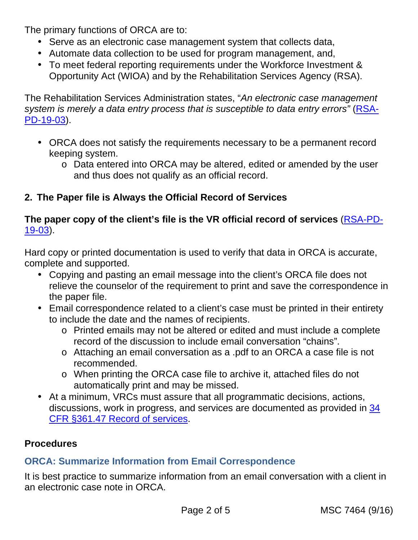The primary functions of ORCA are to:

- Serve as an electronic case management system that collects data,
- Automate data collection to be used for program management, and,
- To meet federal reporting requirements under the Workforce Investment & Opportunity Act (WIOA) and by the Rehabilitation Services Agency (RSA).

The Rehabilitation Services Administration states, "An electronic case management system is merely a data entry process that is susceptible to data entry errors" (RSA-PD-19-03).

- ORCA does not satisfy the requirements necessary to be a permanent record keeping system.
	- o Data entered into ORCA may be altered, edited or amended by the user and thus does not qualify as an official record.

## **2. The Paper file is Always the Official Record of Services**

### **The paper copy of the client's file is the VR official record of services** (RSA-PD-19-03).

Hard copy or printed documentation is used to verify that data in ORCA is accurate, complete and supported.

- Copying and pasting an email message into the client's ORCA file does not relieve the counselor of the requirement to print and save the correspondence in the paper file.
- Email correspondence related to a client's case must be printed in their entirety to include the date and the names of recipients.
	- o Printed emails may not be altered or edited and must include a complete record of the discussion to include email conversation "chains".
	- o Attaching an email conversation as a .pdf to an ORCA a case file is not recommended.
	- o When printing the ORCA case file to archive it, attached files do not automatically print and may be missed.
- At a minimum, VRCs must assure that all programmatic decisions, actions, discussions, work in progress, and services are documented as provided in 34 CFR §361.47 Record of services.

### **Procedures**

## **ORCA: Summarize Information from Email Correspondence**

It is best practice to summarize information from an email conversation with a client in an electronic case note in ORCA.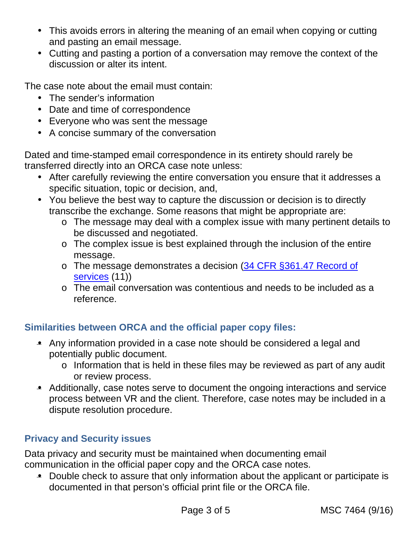- This avoids errors in altering the meaning of an email when copying or cutting and pasting an email message.
- Cutting and pasting a portion of a conversation may remove the context of the discussion or alter its intent.

The case note about the email must contain:

- The sender's information
- Date and time of correspondence
- Everyone who was sent the message
- A concise summary of the conversation

Dated and time-stamped email correspondence in its entirety should rarely be transferred directly into an ORCA case note unless:

- After carefully reviewing the entire conversation you ensure that it addresses a specific situation, topic or decision, and,
- You believe the best way to capture the discussion or decision is to directly transcribe the exchange. Some reasons that might be appropriate are:
	- o The message may deal with a complex issue with many pertinent details to be discussed and negotiated.
	- o The complex issue is best explained through the inclusion of the entire message.
	- o The message demonstrates a decision (34 CFR §361.47 Record of services (11))
	- o The email conversation was contentious and needs to be included as a reference.

## **Similarities between ORCA and the official paper copy files:**

- Any information provided in a case note should be considered a legal and potentially public document.
	- o Information that is held in these files may be reviewed as part of any audit or review process.
- Additionally, case notes serve to document the ongoing interactions and service process between VR and the client. Therefore, case notes may be included in a dispute resolution procedure.

## **Privacy and Security issues**

Data privacy and security must be maintained when documenting email communication in the official paper copy and the ORCA case notes.

• Double check to assure that only information about the applicant or participate is documented in that person's official print file or the ORCA file.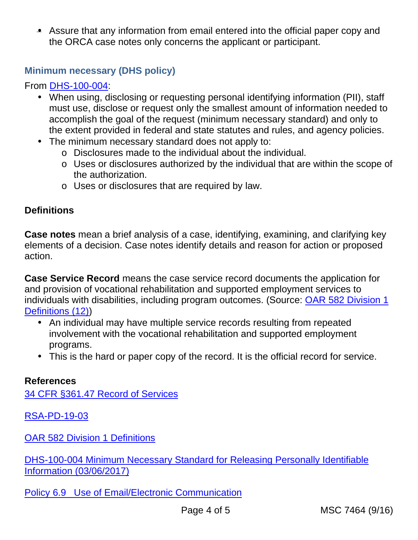• Assure that any information from email entered into the official paper copy and the ORCA case notes only concerns the applicant or participant.

## **Minimum necessary (DHS policy)**

From DHS-100-004:

- When using, disclosing or requesting personal identifying information (PII), staff must use, disclose or request only the smallest amount of information needed to accomplish the goal of the request (minimum necessary standard) and only to the extent provided in federal and state statutes and rules, and agency policies.
- The minimum necessary standard does not apply to:
	- o Disclosures made to the individual about the individual.
	- o Uses or disclosures authorized by the individual that are within the scope of the authorization.
	- o Uses or disclosures that are required by law.

### **Definitions**

**Case notes** mean a brief analysis of a case, identifying, examining, and clarifying key elements of a decision. Case notes identify details and reason for action or proposed action.

**Case Service Record** means the case service record documents the application for and provision of vocational rehabilitation and supported employment services to individuals with disabilities, including program outcomes. (Source: OAR 582 Division 1 Definitions (12))

- An individual may have multiple service records resulting from repeated involvement with the vocational rehabilitation and supported employment programs.
- This is the hard or paper copy of the record. It is the official record for service.

#### **References**

34 CFR §361.47 Record of Services

RSA-PD-19-03

OAR 582 Division 1 Definitions

DHS-100-004 Minimum Necessary Standard for Releasing Personally Identifiable Information (03/06/2017)

Policy 6.9 Use of Email/Electronic Communication